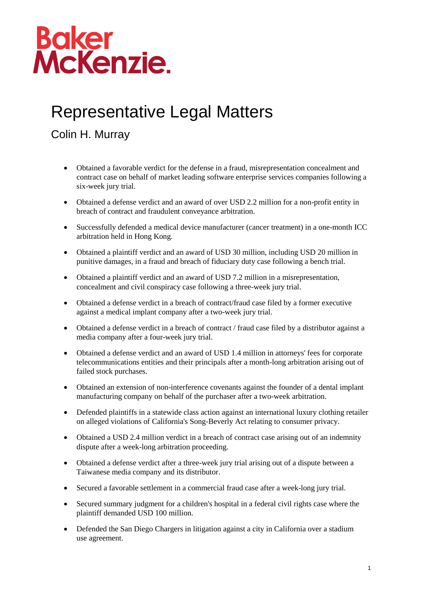## **Baker<br>McKenzie.**

## Representative Legal Matters

## Colin H. Murray

- Obtained a favorable verdict for the defense in a fraud, misrepresentation concealment and contract case on behalf of market leading software enterprise services companies following a six-week jury trial.
- Obtained a defense verdict and an award of over USD 2.2 million for a non-profit entity in breach of contract and fraudulent conveyance arbitration.
- Successfully defended a medical device manufacturer (cancer treatment) in a one-month ICC arbitration held in Hong Kong.
- Obtained a plaintiff verdict and an award of USD 30 million, including USD 20 million in punitive damages, in a fraud and breach of fiduciary duty case following a bench trial.
- Obtained a plaintiff verdict and an award of USD 7.2 million in a misrepresentation, concealment and civil conspiracy case following a three-week jury trial.
- Obtained a defense verdict in a breach of contract/fraud case filed by a former executive against a medical implant company after a two-week jury trial.
- Obtained a defense verdict in a breach of contract / fraud case filed by a distributor against a media company after a four-week jury trial.
- Obtained a defense verdict and an award of USD 1.4 million in attorneys' fees for corporate telecommunications entities and their principals after a month-long arbitration arising out of failed stock purchases.
- Obtained an extension of non-interference covenants against the founder of a dental implant manufacturing company on behalf of the purchaser after a two-week arbitration.
- Defended plaintiffs in a statewide class action against an international luxury clothing retailer on alleged violations of California's Song-Beverly Act relating to consumer privacy.
- Obtained a USD 2.4 million verdict in a breach of contract case arising out of an indemnity dispute after a week-long arbitration proceeding.
- Obtained a defense verdict after a three-week jury trial arising out of a dispute between a Taiwanese media company and its distributor.
- Secured a favorable settlement in a commercial fraud case after a week-long jury trial.
- Secured summary judgment for a children's hospital in a federal civil rights case where the plaintiff demanded USD 100 million.
- Defended the San Diego Chargers in litigation against a city in California over a stadium use agreement.